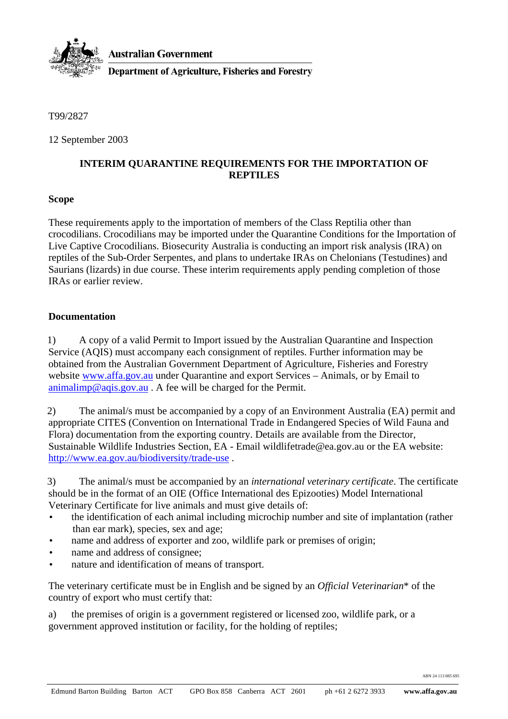

T99/2827

12 September 2003

## **INTERIM QUARANTINE REQUIREMENTS FOR THE IMPORTATION OF REPTILES**

## **Scope**

These requirements apply to the importation of members of the Class Reptilia other than crocodilians. Crocodilians may be imported under the Quarantine Conditions for the Importation of Live Captive Crocodilians. Biosecurity Australia is conducting an import risk analysis (IRA) on reptiles of the Sub-Order Serpentes, and plans to undertake IRAs on Chelonians (Testudines) and Saurians (lizards) in due course. These interim requirements apply pending completion of those IRAs or earlier review.

## **Documentation**

1) A copy of a valid Permit to Import issued by the Australian Quarantine and Inspection Service (AQIS) must accompany each consignment of reptiles. Further information may be obtained from the Australian Government Department of Agriculture, Fisheries and Forestry website www.affa.gov.au under Quarantine and export Services – Animals, or by Email to animalimp@aqis.gov.au . A fee will be charged for the Permit.

2) The animal/s must be accompanied by a copy of an Environment Australia (EA) permit and appropriate CITES (Convention on International Trade in Endangered Species of Wild Fauna and Flora) documentation from the exporting country. Details are available from the Director, Sustainable Wildlife Industries Section, EA - Email wildlifetrade@ea.gov.au or the EA website: http://www.ea.gov.au/biodiversity/trade-use .

3) The animal/s must be accompanied by an *international veterinary certificate*. The certificate should be in the format of an OIE (Office International des Epizooties) Model International Veterinary Certificate for live animals and must give details of:

- the identification of each animal including microchip number and site of implantation (rather than ear mark), species, sex and age;
- name and address of exporter and zoo, wildlife park or premises of origin;
- name and address of consignee;
- nature and identification of means of transport.

The veterinary certificate must be in English and be signed by an *Official Veterinarian*\* of the country of export who must certify that:

a) the premises of origin is a government registered or licensed zoo, wildlife park, or a government approved institution or facility, for the holding of reptiles;

ABN 24 113 085 695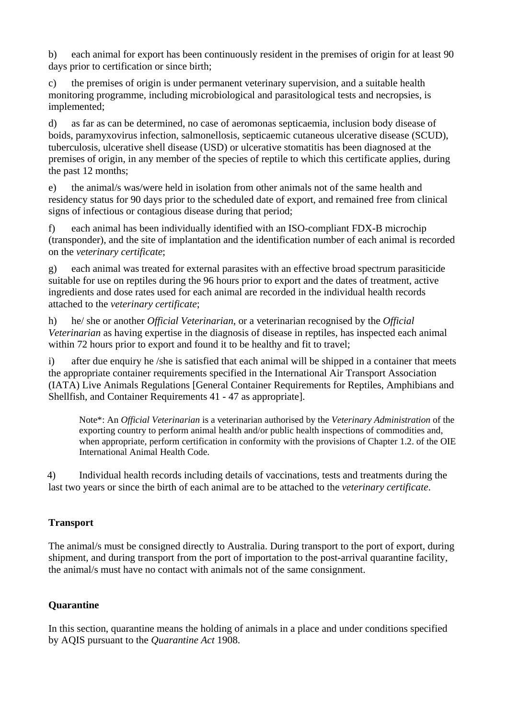b) each animal for export has been continuously resident in the premises of origin for at least 90 days prior to certification or since birth;

c) the premises of origin is under permanent veterinary supervision, and a suitable health monitoring programme, including microbiological and parasitological tests and necropsies, is implemented;

d) as far as can be determined, no case of aeromonas septicaemia, inclusion body disease of boids, paramyxovirus infection, salmonellosis, septicaemic cutaneous ulcerative disease (SCUD), tuberculosis, ulcerative shell disease (USD) or ulcerative stomatitis has been diagnosed at the premises of origin, in any member of the species of reptile to which this certificate applies, during the past 12 months;

e) the animal/s was/were held in isolation from other animals not of the same health and residency status for 90 days prior to the scheduled date of export, and remained free from clinical signs of infectious or contagious disease during that period;

f) each animal has been individually identified with an ISO-compliant FDX-B microchip (transponder), and the site of implantation and the identification number of each animal is recorded on the *veterinary certificate*;

g) each animal was treated for external parasites with an effective broad spectrum parasiticide suitable for use on reptiles during the 96 hours prior to export and the dates of treatment, active ingredients and dose rates used for each animal are recorded in the individual health records attached to the *veterinary certificate*;

h) he/ she or another *Official Veterinarian*, or a veterinarian recognised by the *Official Veterinarian* as having expertise in the diagnosis of disease in reptiles, has inspected each animal within 72 hours prior to export and found it to be healthy and fit to travel:

i) after due enquiry he /she is satisfied that each animal will be shipped in a container that meets the appropriate container requirements specified in the International Air Transport Association (IATA) Live Animals Regulations [General Container Requirements for Reptiles, Amphibians and Shellfish, and Container Requirements 41 - 47 as appropriate].

Note\*: An *Official Veterinarian* is a veterinarian authorised by the *Veterinary Administration* of the exporting country to perform animal health and/or public health inspections of commodities and, when appropriate, perform certification in conformity with the provisions of Chapter 1.2. of the OIE International Animal Health Code.

4) Individual health records including details of vaccinations, tests and treatments during the last two years or since the birth of each animal are to be attached to the *veterinary certificate*.

# **Transport**

The animal/s must be consigned directly to Australia. During transport to the port of export, during shipment, and during transport from the port of importation to the post-arrival quarantine facility, the animal/s must have no contact with animals not of the same consignment.

## **Quarantine**

In this section, quarantine means the holding of animals in a place and under conditions specified by AQIS pursuant to the *Quarantine Act* 1908.